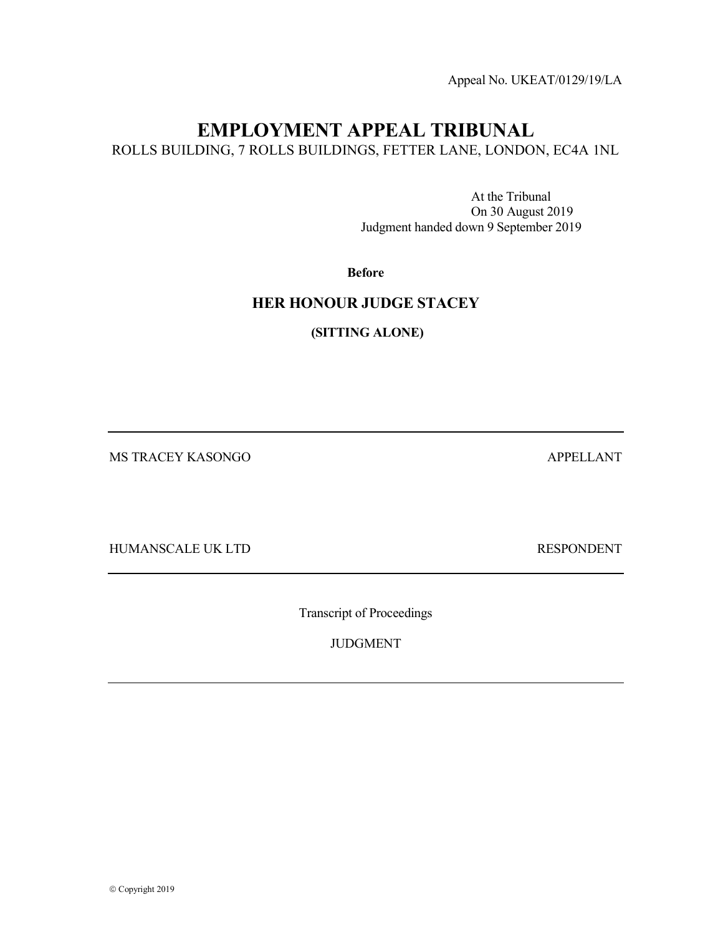Appeal No. UKEAT/0129/19/LA

# EMPLOYMENT APPEAL TRIBUNAL

ROLLS BUILDING, 7 ROLLS BUILDINGS, FETTER LANE, LONDON, EC4A 1NL

 At the Tribunal On 30 August 2019 Judgment handed down 9 September 2019

### Before

## HER HONOUR JUDGE STACEY

(SITTING ALONE)

MS TRACEY KASONGO APPELLANT

HUMANSCALE UK LTD RESPONDENT

Transcript of Proceedings

JUDGMENT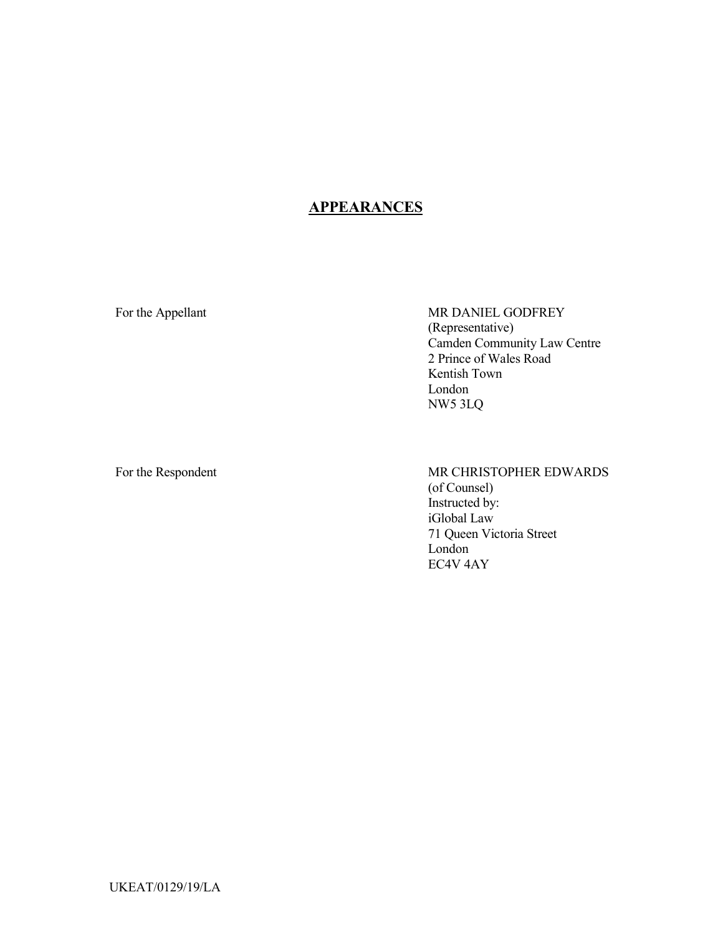# **APPEARANCES**

For the Appellant MR DANIEL GODFREY (Representative) Camden Community Law Centre 2 Prince of Wales Road Kentish Town London NW5 3LQ

For the Respondent MR CHRISTOPHER EDWARDS (of Counsel) Instructed by: iGlobal Law 71 Queen Victoria Street London EC4V 4AY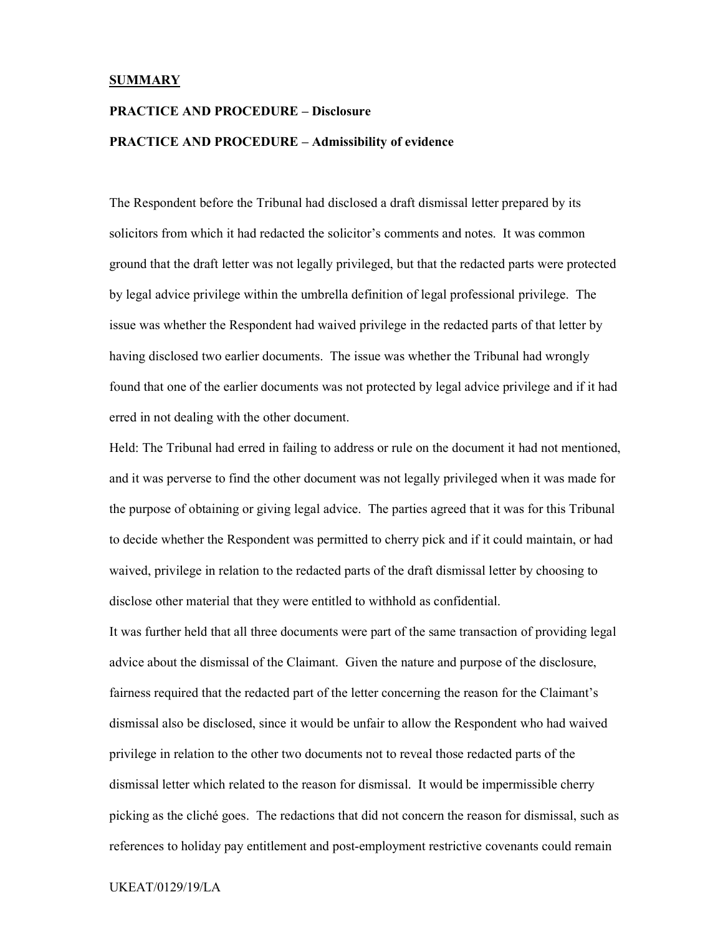#### SUMMARY

### PRACTICE AND PROCEDURE – Disclosure

### PRACTICE AND PROCEDURE – Admissibility of evidence

The Respondent before the Tribunal had disclosed a draft dismissal letter prepared by its solicitors from which it had redacted the solicitor's comments and notes. It was common ground that the draft letter was not legally privileged, but that the redacted parts were protected by legal advice privilege within the umbrella definition of legal professional privilege. The issue was whether the Respondent had waived privilege in the redacted parts of that letter by having disclosed two earlier documents. The issue was whether the Tribunal had wrongly found that one of the earlier documents was not protected by legal advice privilege and if it had erred in not dealing with the other document.

Held: The Tribunal had erred in failing to address or rule on the document it had not mentioned, and it was perverse to find the other document was not legally privileged when it was made for the purpose of obtaining or giving legal advice. The parties agreed that it was for this Tribunal to decide whether the Respondent was permitted to cherry pick and if it could maintain, or had waived, privilege in relation to the redacted parts of the draft dismissal letter by choosing to disclose other material that they were entitled to withhold as confidential.

It was further held that all three documents were part of the same transaction of providing legal advice about the dismissal of the Claimant. Given the nature and purpose of the disclosure, fairness required that the redacted part of the letter concerning the reason for the Claimant's dismissal also be disclosed, since it would be unfair to allow the Respondent who had waived privilege in relation to the other two documents not to reveal those redacted parts of the dismissal letter which related to the reason for dismissal. It would be impermissible cherry picking as the cliché goes. The redactions that did not concern the reason for dismissal, such as references to holiday pay entitlement and post-employment restrictive covenants could remain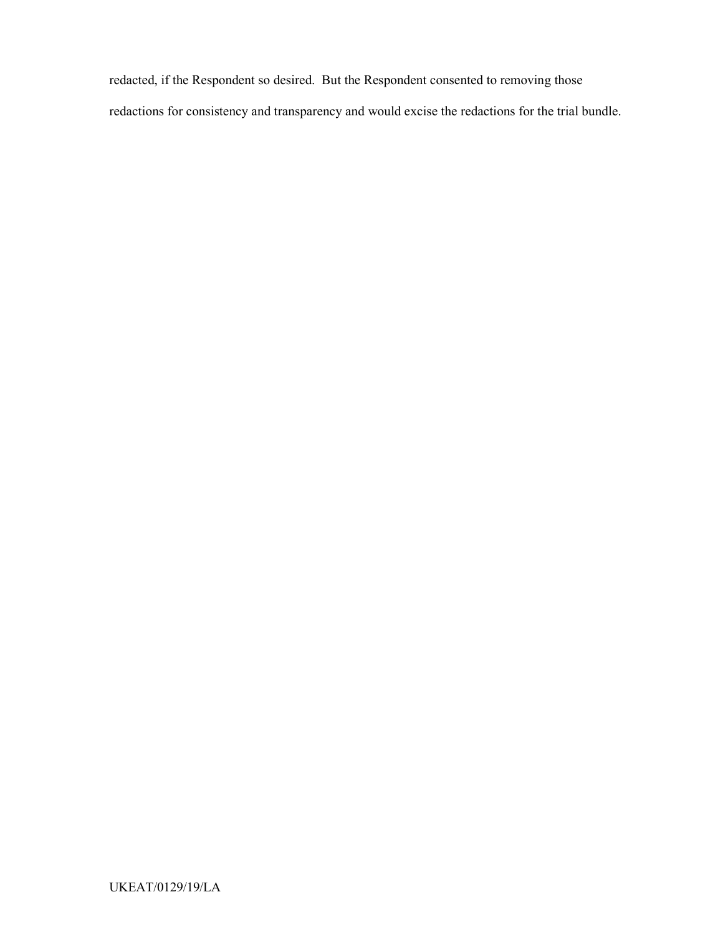redacted, if the Respondent so desired. But the Respondent consented to removing those redactions for consistency and transparency and would excise the redactions for the trial bundle.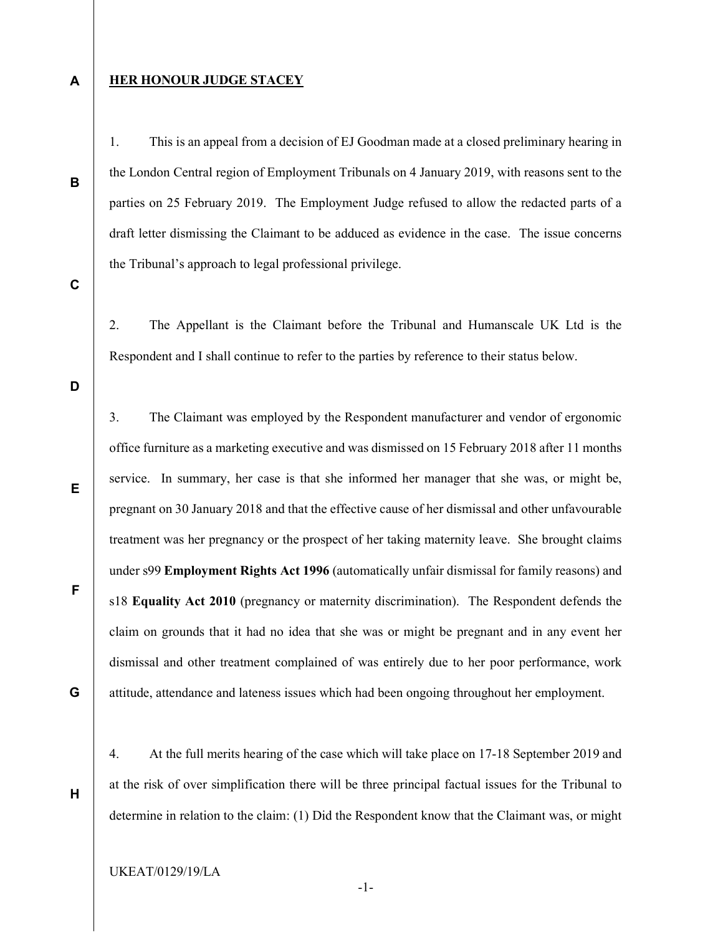A

B

C

### **HER HONOUR JUDGE STACEY**

1. This is an appeal from a decision of EJ Goodman made at a closed preliminary hearing in the London Central region of Employment Tribunals on 4 January 2019, with reasons sent to the parties on 25 February 2019. The Employment Judge refused to allow the redacted parts of a draft letter dismissing the Claimant to be adduced as evidence in the case. The issue concerns the Tribunal's approach to legal professional privilege.

2. The Appellant is the Claimant before the Tribunal and Humanscale UK Ltd is the Respondent and I shall continue to refer to the parties by reference to their status below.

D

E

F

G

H

3. The Claimant was employed by the Respondent manufacturer and vendor of ergonomic office furniture as a marketing executive and was dismissed on 15 February 2018 after 11 months service. In summary, her case is that she informed her manager that she was, or might be, pregnant on 30 January 2018 and that the effective cause of her dismissal and other unfavourable treatment was her pregnancy or the prospect of her taking maternity leave. She brought claims under s99 Employment Rights Act 1996 (automatically unfair dismissal for family reasons) and s18 Equality Act 2010 (pregnancy or maternity discrimination). The Respondent defends the claim on grounds that it had no idea that she was or might be pregnant and in any event her dismissal and other treatment complained of was entirely due to her poor performance, work attitude, attendance and lateness issues which had been ongoing throughout her employment.

4. At the full merits hearing of the case which will take place on 17-18 September 2019 and at the risk of over simplification there will be three principal factual issues for the Tribunal to determine in relation to the claim: (1) Did the Respondent know that the Claimant was, or might

UKEAT/0129/19/LA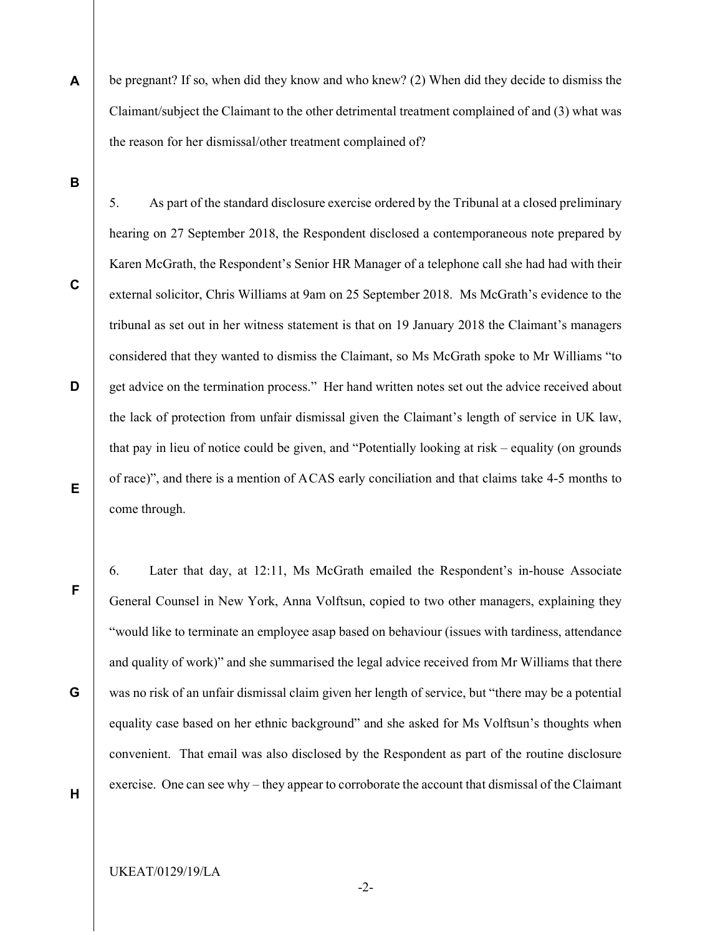be pregnant? If so, when did they know and who knew? (2) When did they decide to dismiss the Claimant/subject the Claimant to the other detrimental treatment complained of and (3) what was the reason for her dismissal/other treatment complained of?

5. As part of the standard disclosure exercise ordered by the Tribunal at a closed preliminary

B

A

C D E hearing on 27 September 2018, the Respondent disclosed a contemporaneous note prepared by Karen McGrath, the Respondent's Senior HR Manager of a telephone call she had had with their external solicitor, Chris Williams at 9am on 25 September 2018. Ms McGrath's evidence to the tribunal as set out in her witness statement is that on 19 January 2018 the Claimant's managers considered that they wanted to dismiss the Claimant, so Ms McGrath spoke to Mr Williams "to get advice on the termination process." Her hand written notes set out the advice received about the lack of protection from unfair dismissal given the Claimant's length of service in UK law, that pay in lieu of notice could be given, and "Potentially looking at risk – equality (on grounds of race)", and there is a mention of A CAS early conciliation and that claims take 4-5 months to come through.

6. Later that day, at 12:11, Ms McGrath emailed the Respondent's in-house Associate General Counsel in New York, Anna Volftsun, copied to two other managers, explaining they "would like to terminate an employee asap based on behaviour (issues with tardiness, attendance and quality of work)" and she summarised the legal advice received from Mr Williams that there was no risk of an unfair dismissal claim given her length of service, but "there may be a potential equality case based on her ethnic background" and she asked for Ms Volftsun's thoughts when convenient. That email was also disclosed by the Respondent as part of the routine disclosure exercise. One can see why – they appear to corroborate the account that dismissal of the Claimant

H

F

G

-2-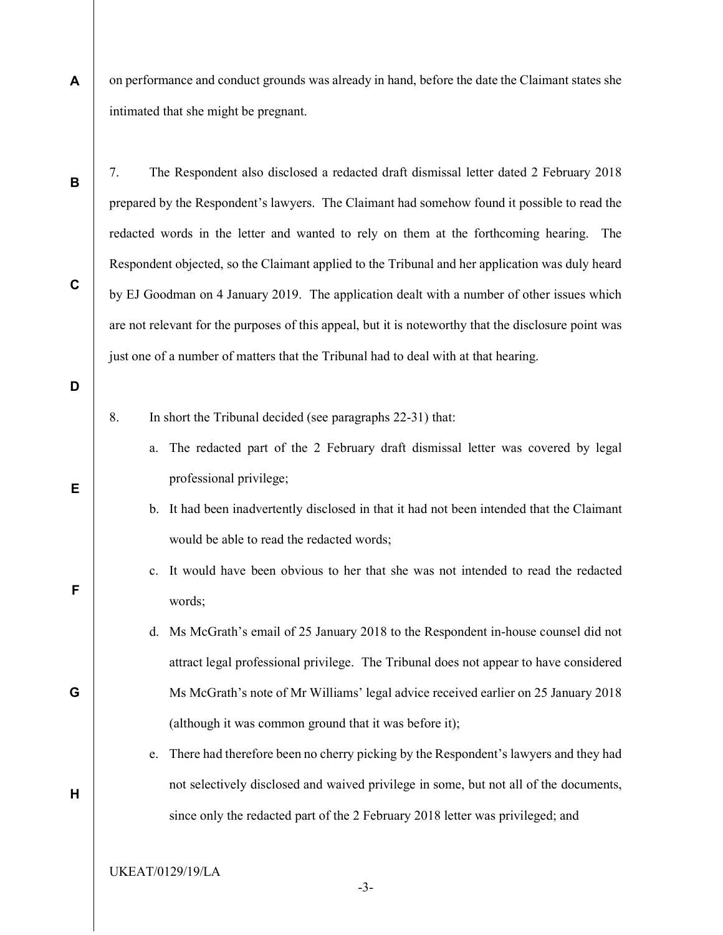A on performance and conduct grounds was already in hand, before the date the Claimant states she intimated that she might be pregnant.

C

D

E

F

G

H

B

prepared by the Respondent's lawyers. The Claimant had somehow found it possible to read the redacted words in the letter and wanted to rely on them at the forthcoming hearing. The Respondent objected, so the Claimant applied to the Tribunal and her application was duly heard by EJ Goodman on 4 January 2019. The application dealt with a number of other issues which are not relevant for the purposes of this appeal, but it is noteworthy that the disclosure point was just one of a number of matters that the Tribunal had to deal with at that hearing.

7. The Respondent also disclosed a redacted draft dismissal letter dated 2 February 2018

- 8. In short the Tribunal decided (see paragraphs 22-31) that:
	- a. The redacted part of the 2 February draft dismissal letter was covered by legal professional privilege;
	- b. It had been inadvertently disclosed in that it had not been intended that the Claimant would be able to read the redacted words;
	- c. It would have been obvious to her that she was not intended to read the redacted words;
	- d. Ms McGrath's email of 25 January 2018 to the Respondent in-house counsel did not attract legal professional privilege. The Tribunal does not appear to have considered Ms McGrath's note of Mr Williams' legal advice received earlier on 25 January 2018 (although it was common ground that it was before it);
	- e. There had therefore been no cherry picking by the Respondent's lawyers and they had not selectively disclosed and waived privilege in some, but not all of the documents, since only the redacted part of the 2 February 2018 letter was privileged; and

UKEAT/0129/19/LA

-3-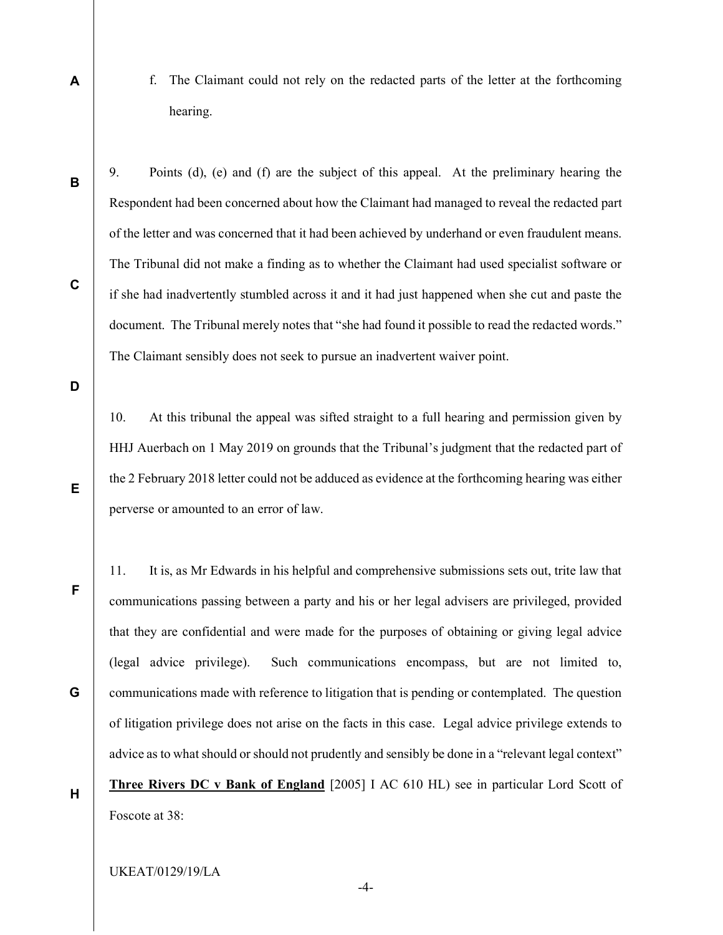f. The Claimant could not rely on the redacted parts of the letter at the forthcoming hearing.

B

A

9. Points (d), (e) and (f) are the subject of this appeal. At the preliminary hearing the Respondent had been concerned about how the Claimant had managed to reveal the redacted part of the letter and was concerned that it had been achieved by underhand or even fraudulent means. The Tribunal did not make a finding as to whether the Claimant had used specialist software or if she had inadvertently stumbled across it and it had just happened when she cut and paste the document. The Tribunal merely notes that "she had found it possible to read the redacted words." The Claimant sensibly does not seek to pursue an inadvertent waiver point.

D

C

10. At this tribunal the appeal was sifted straight to a full hearing and permission given by HHJ Auerbach on 1 May 2019 on grounds that the Tribunal's judgment that the redacted part of the 2 February 2018 letter could not be adduced as evidence at the forthcoming hearing was either perverse or amounted to an error of law.

F

E

G

11. It is, as Mr Edwards in his helpful and comprehensive submissions sets out, trite law that communications passing between a party and his or her legal advisers are privileged, provided that they are confidential and were made for the purposes of obtaining or giving legal advice (legal advice privilege). Such communications encompass, but are not limited to, communications made with reference to litigation that is pending or contemplated. The question of litigation privilege does not arise on the facts in this case. Legal advice privilege extends to advice as to what should or should not prudently and sensibly be done in a "relevant legal context" Three Rivers DC v Bank of England [2005] I AC 610 HL) see in particular Lord Scott of Foscote at 38:

H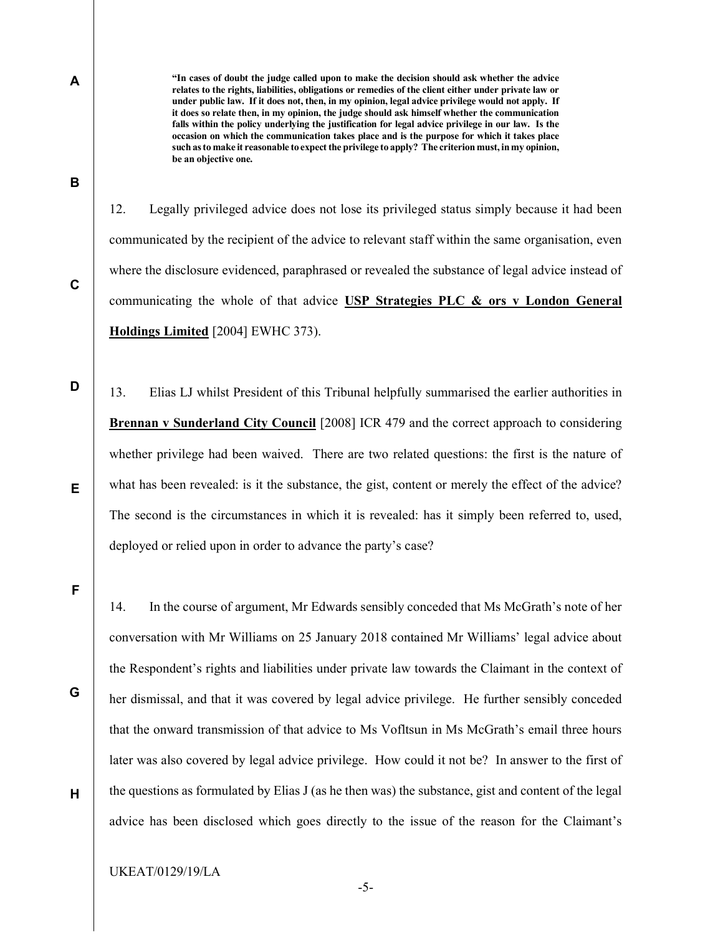A

B

C

D

"In cases of doubt the judge called upon to make the decision should ask whether the advice relates to the rights, liabilities, obligations or remedies of the client either under private law or under public law. If it does not, then, in my opinion, legal advice privilege would not apply. If it does so relate then, in my opinion, the judge should ask himself whether the communication falls within the policy underlying the justification for legal advice privilege in our law. Is the occasion on which the communication takes place and is the purpose for which it takes place such as to make it reasonable to expect the privilege to apply? The criterion must, in my opinion, be an objective one.

12. Legally privileged advice does not lose its privileged status simply because it had been

communicated by the recipient of the advice to relevant staff within the same organisation, even where the disclosure evidenced, paraphrased or revealed the substance of legal advice instead of communicating the whole of that advice USP Strategies PLC  $\&$  ors v London General Holdings Limited [2004] EWHC 373).

13. Elias LJ whilst President of this Tribunal helpfully summarised the earlier authorities in Brennan v Sunderland City Council [2008] ICR 479 and the correct approach to considering whether privilege had been waived. There are two related questions: the first is the nature of what has been revealed: is it the substance, the gist, content or merely the effect of the advice? The second is the circumstances in which it is revealed: has it simply been referred to, used, deployed or relied upon in order to advance the party's case?

14. In the course of argument, Mr Edwards sensibly conceded that Ms McGrath's note of her

E

F

G

H

conversation with Mr Williams on 25 January 2018 contained Mr Williams' legal advice about the Respondent's rights and liabilities under private law towards the Claimant in the context of her dismissal, and that it was covered by legal advice privilege. He further sensibly conceded that the onward transmission of that advice to Ms Vofltsun in Ms McGrath's email three hours later was also covered by legal advice privilege. How could it not be? In answer to the first of the questions as formulated by Elias J (as he then was) the substance, gist and content of the legal advice has been disclosed which goes directly to the issue of the reason for the Claimant's

UKEAT/0129/19/LA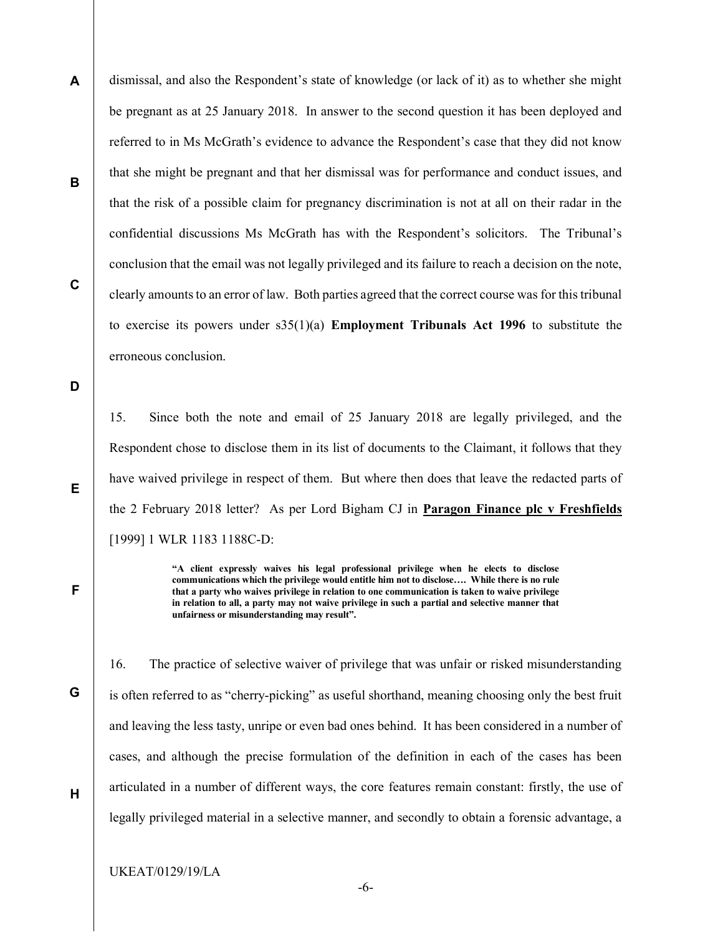A B C dismissal, and also the Respondent's state of knowledge (or lack of it) as to whether she might be pregnant as at 25 January 2018. In answer to the second question it has been deployed and referred to in Ms McGrath's evidence to advance the Respondent's case that they did not know that she might be pregnant and that her dismissal was for performance and conduct issues, and that the risk of a possible claim for pregnancy discrimination is not at all on their radar in the confidential discussions Ms McGrath has with the Respondent's solicitors. The Tribunal's conclusion that the email was not legally privileged and its failure to reach a decision on the note, clearly amounts to an error of law. Both parties agreed that the correct course was for this tribunal to exercise its powers under s35(1)(a) Employment Tribunals Act 1996 to substitute the erroneous conclusion.

D

E

F

G

H

15. Since both the note and email of 25 January 2018 are legally privileged, and the Respondent chose to disclose them in its list of documents to the Claimant, it follows that they have waived privilege in respect of them. But where then does that leave the redacted parts of the 2 February 2018 letter? As per Lord Bigham CJ in Paragon Finance plc v Freshfields [1999] 1 WLR 1183 1188C-D:

> "A client expressly waives his legal professional privilege when he elects to disclose communications which the privilege would entitle him not to disclose…. While there is no rule that a party who waives privilege in relation to one communication is taken to waive privilege in relation to all, a party may not waive privilege in such a partial and selective manner that unfairness or misunderstanding may result".

16. The practice of selective waiver of privilege that was unfair or risked misunderstanding is often referred to as "cherry-picking" as useful shorthand, meaning choosing only the best fruit and leaving the less tasty, unripe or even bad ones behind. It has been considered in a number of cases, and although the precise formulation of the definition in each of the cases has been articulated in a number of different ways, the core features remain constant: firstly, the use of legally privileged material in a selective manner, and secondly to obtain a forensic advantage, a

UKEAT/0129/19/LA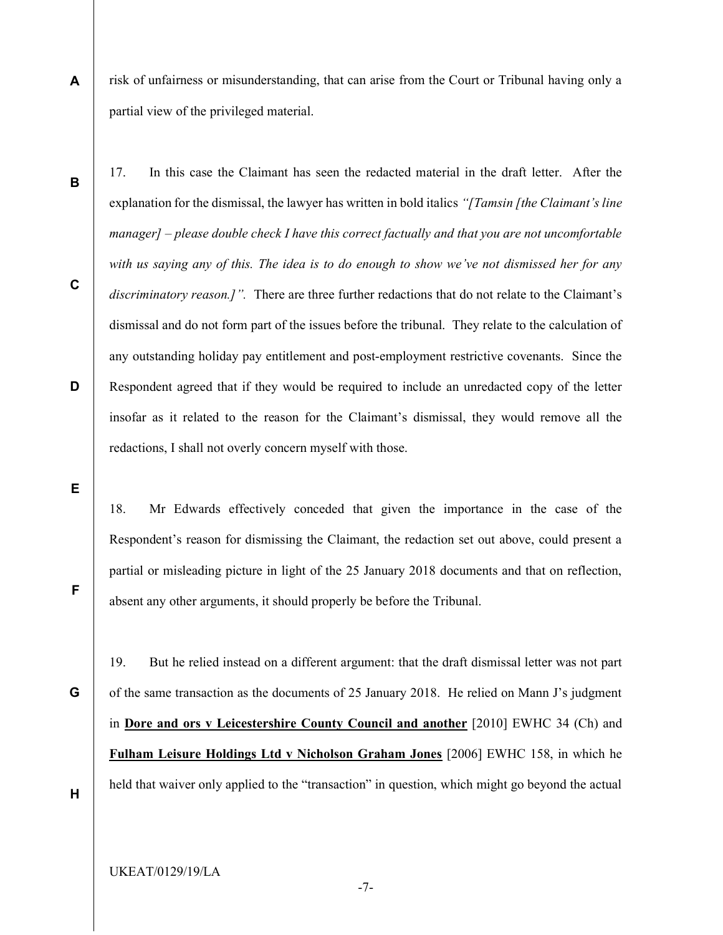A risk of unfairness or misunderstanding, that can arise from the Court or Tribunal having only a partial view of the privileged material.

17. In this case the Claimant has seen the redacted material in the draft letter. After the explanation for the dismissal, the lawyer has written in bold italics "[Tamsin [the Claimant's line manager] – please double check I have this correct factually and that you are not uncomfortable with us saying any of this. The idea is to do enough to show we've not dismissed her for any discriminatory reason.]". There are three further redactions that do not relate to the Claimant's dismissal and do not form part of the issues before the tribunal. They relate to the calculation of any outstanding holiday pay entitlement and post-employment restrictive covenants. Since the Respondent agreed that if they would be required to include an unredacted copy of the letter insofar as it related to the reason for the Claimant's dismissal, they would remove all the redactions, I shall not overly concern myself with those.

E

B

C

D

18. Mr Edwards effectively conceded that given the importance in the case of the Respondent's reason for dismissing the Claimant, the redaction set out above, could present a partial or misleading picture in light of the 25 January 2018 documents and that on reflection, absent any other arguments, it should properly be before the Tribunal.

G

F

19. But he relied instead on a different argument: that the draft dismissal letter was not part of the same transaction as the documents of 25 January 2018. He relied on Mann J's judgment in Dore and ors v Leicestershire County Council and another [2010] EWHC 34 (Ch) and Fulham Leisure Holdings Ltd v Nicholson Graham Jones [2006] EWHC 158, in which he held that waiver only applied to the "transaction" in question, which might go beyond the actual

H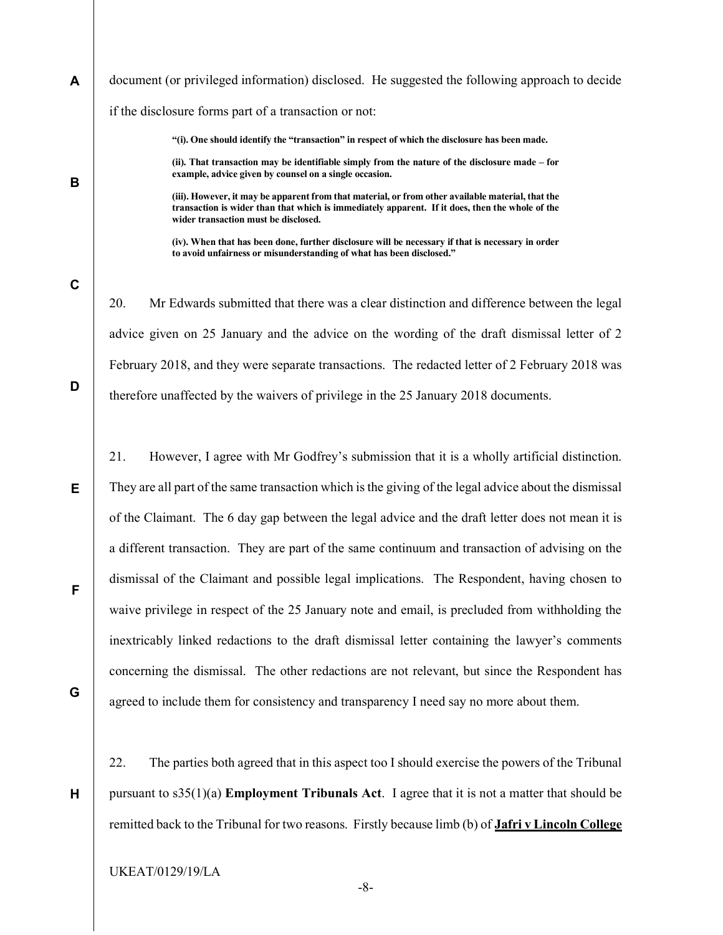A document (or privileged information) disclosed. He suggested the following approach to decide if the disclosure forms part of a transaction or not:

"(i). One should identify the "transaction" in respect of which the disclosure has been made.

(ii). That transaction may be identifiable simply from the nature of the disclosure made – for example, advice given by counsel on a single occasion.

(iii). However, it may be apparent from that material, or from other available material, that the transaction is wider than that which is immediately apparent. If it does, then the whole of the wider transaction must be disclosed.

(iv). When that has been done, further disclosure will be necessary if that is necessary in order to avoid unfairness or misunderstanding of what has been disclosed."

20. Mr Edwards submitted that there was a clear distinction and difference between the legal advice given on 25 January and the advice on the wording of the draft dismissal letter of 2 February 2018, and they were separate transactions. The redacted letter of 2 February 2018 was therefore unaffected by the waivers of privilege in the 25 January 2018 documents.

21. However, I agree with Mr Godfrey's submission that it is a wholly artificial distinction. They are all part of the same transaction which is the giving of the legal advice about the dismissal of the Claimant. The 6 day gap between the legal advice and the draft letter does not mean it is a different transaction. They are part of the same continuum and transaction of advising on the dismissal of the Claimant and possible legal implications. The Respondent, having chosen to waive privilege in respect of the 25 January note and email, is precluded from withholding the inextricably linked redactions to the draft dismissal letter containing the lawyer's comments concerning the dismissal. The other redactions are not relevant, but since the Respondent has agreed to include them for consistency and transparency I need say no more about them.

22. The parties both agreed that in this aspect too I should exercise the powers of the Tribunal pursuant to  $s35(1)(a)$  Employment Tribunals Act. I agree that it is not a matter that should be remitted back to the Tribunal for two reasons. Firstly because limb (b) of **Jafri v Lincoln College** 

UKEAT/0129/19/LA

B

C

D

E

F

G

H

-8-